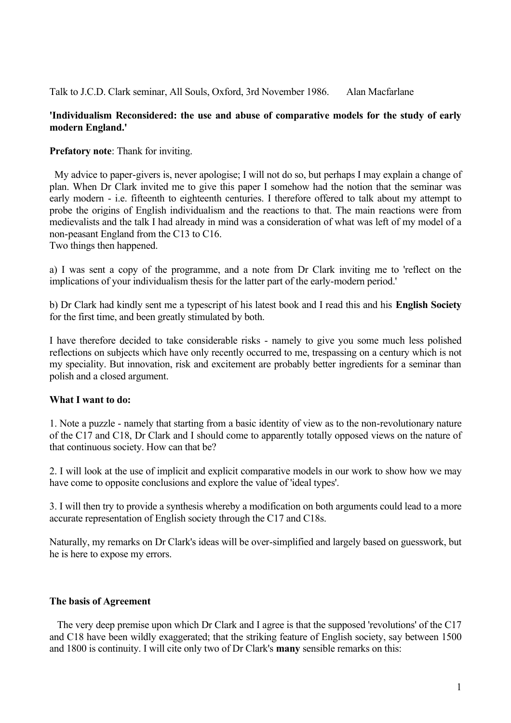Talk to J.C.D. Clark seminar, All Souls, Oxford, 3rd November 1986. Alan Macfarlane

### **'Individualism Reconsidered: the use and abuse of comparative models for the study of early modern England.'**

**Prefatory note**: Thank for inviting.

 My advice to paper-givers is, never apologise; I will not do so, but perhaps I may explain a change of plan. When Dr Clark invited me to give this paper I somehow had the notion that the seminar was early modern - i.e. fifteenth to eighteenth centuries. I therefore offered to talk about my attempt to probe the origins of English individualism and the reactions to that. The main reactions were from medievalists and the talk I had already in mind was a consideration of what was left of my model of a non-peasant England from the C13 to C16.

Two things then happened.

a) I was sent a copy of the programme, and a note from Dr Clark inviting me to 'reflect on the implications of your individualism thesis for the latter part of the early-modern period.'

b) Dr Clark had kindly sent me a typescript of his latest book and I read this and his **English Society** for the first time, and been greatly stimulated by both.

I have therefore decided to take considerable risks - namely to give you some much less polished reflections on subjects which have only recently occurred to me, trespassing on a century which is not my speciality. But innovation, risk and excitement are probably better ingredients for a seminar than polish and a closed argument.

# **What I want to do:**

1. Note a puzzle - namely that starting from a basic identity of view as to the non-revolutionary nature of the C17 and C18, Dr Clark and I should come to apparently totally opposed views on the nature of that continuous society. How can that be?

2. I will look at the use of implicit and explicit comparative models in our work to show how we may have come to opposite conclusions and explore the value of 'ideal types'.

3. I will then try to provide a synthesis whereby a modification on both arguments could lead to a more accurate representation of English society through the C17 and C18s.

Naturally, my remarks on Dr Clark's ideas will be over-simplified and largely based on guesswork, but he is here to expose my errors.

# **The basis of Agreement**

 The very deep premise upon which Dr Clark and I agree is that the supposed 'revolutions' of the C17 and C18 have been wildly exaggerated; that the striking feature of English society, say between 1500 and 1800 is continuity. I will cite only two of Dr Clark's **many** sensible remarks on this: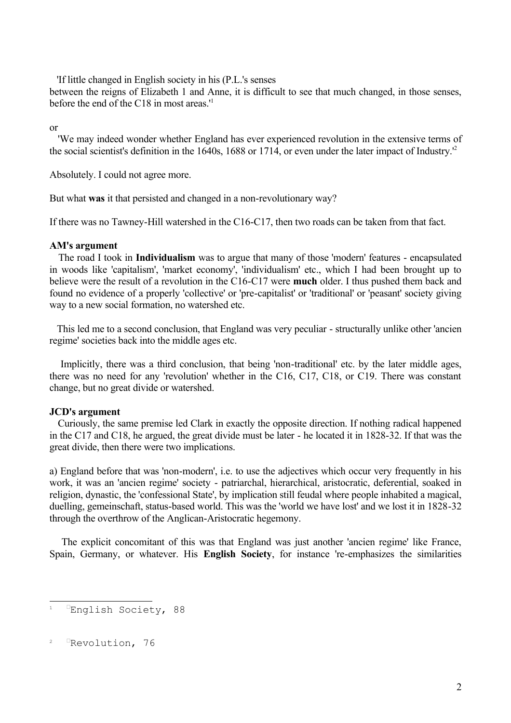'If little changed in English society in his (P.L.'s senses

between the reigns of Elizabeth 1 and Anne, it is difficult to see that much changed, in those senses, before the end of the C18 in most areas.' [1](#page-1-0)

or

'We may indeed wonder whether England has ever experienced revolution in the extensive terms of the social scientist's definition in the 1640s, 1688 or 1714, or even under the later impact of Industry.' [2](#page-1-1)

Absolutely. I could not agree more.

But what **was** it that persisted and changed in a non-revolutionary way?

If there was no Tawney-Hill watershed in the C16-C17, then two roads can be taken from that fact.

#### **AM's argument**

The road I took in **Individualism** was to argue that many of those 'modern' features - encapsulated in woods like 'capitalism', 'market economy', 'individualism' etc., which I had been brought up to believe were the result of a revolution in the C16-C17 were **much** older. I thus pushed them back and found no evidence of a properly 'collective' or 'pre-capitalist' or 'traditional' or 'peasant' society giving way to a new social formation, no watershed etc.

This led me to a second conclusion, that England was very peculiar - structurally unlike other 'ancien regime' societies back into the middle ages etc.

Implicitly, there was a third conclusion, that being 'non-traditional' etc. by the later middle ages, there was no need for any 'revolution' whether in the C16, C17, C18, or C19. There was constant change, but no great divide or watershed.

### **JCD's argument**

Curiously, the same premise led Clark in exactly the opposite direction. If nothing radical happened in the C17 and C18, he argued, the great divide must be later - he located it in 1828-32. If that was the great divide, then there were two implications.

a) England before that was 'non-modern', i.e. to use the adjectives which occur very frequently in his work, it was an 'ancien regime' society - patriarchal, hierarchical, aristocratic, deferential, soaked in religion, dynastic, the 'confessional State', by implication still feudal where people inhabited a magical, duelling, gemeinschaft, status-based world. This was the 'world we have lost' and we lost it in 1828-32 through the overthrow of the Anglican-Aristocratic hegemony.

The explicit concomitant of this was that England was just another 'ancien regime' like France, Spain, Germany, or whatever. His **English Society**, for instance 're-emphasizes the similarities

<span id="page-1-0"></span><sup>1</sup> English Society, 88

<span id="page-1-1"></span><sup>&</sup>lt;sup>2</sup> Revolution, 76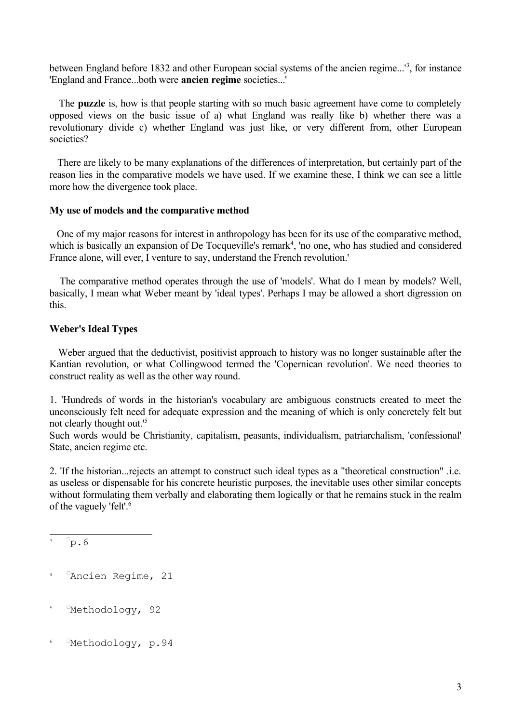between England before 18[3](#page-2-0)2 and other European social systems of the ancien regime...<sup>13</sup>, for instance 'England and France...both were **ancien regime** societies...'

The **puzzle** is, how is that people starting with so much basic agreement have come to completely opposed views on the basic issue of a) what England was really like b) whether there was a revolutionary divide c) whether England was just like, or very different from, other European societies?

 There are likely to be many explanations of the differences of interpretation, but certainly part of the reason lies in the comparative models we have used. If we examine these, I think we can see a little more how the divergence took place.

#### **My use of models and the comparative method**

One of my major reasons for interest in anthropology has been for its use of the comparative method, which is basically an expansion of De Tocqueville's remark<sup>[4](#page-2-1)</sup>, 'no one, who has studied and considered France alone, will ever, I venture to say, understand the French revolution.'

The comparative method operates through the use of 'models'. What do I mean by models? Well, basically, I mean what Weber meant by 'ideal types'. Perhaps I may be allowed a short digression on this.

### **Weber's Ideal Types**

Weber argued that the deductivist, positivist approach to history was no longer sustainable after the Kantian revolution, or what Collingwood termed the 'Copernican revolution'. We need theories to construct reality as well as the other way round.

1. 'Hundreds of words in the historian's vocabulary are ambiguous constructs created to meet the unconsciously felt need for adequate expression and the meaning of which is only concretely felt but not clearly thought out.' [5](#page-2-2)

Such words would be Christianity, capitalism, peasants, individualism, patriarchalism, 'confessional' State, ancien regime etc.

2. 'If the historian...rejects an attempt to construct such ideal types as a "theoretical construction" .i.e. as useless or dispensable for his concrete heuristic purposes, the inevitable uses other similar concepts without formulating them verbally and elaborating them logically or that he remains stuck in the realm of the vaguely 'felt'. [6](#page-2-3)

- <span id="page-2-2"></span><sup>5</sup> Methodology, 92
- <span id="page-2-3"></span>6 -Methodology, p.94

<span id="page-2-0"></span> $^3$   $\Box$ p.6

<span id="page-2-1"></span><sup>4 &</sup>lt;sup>D</sup>Ancien Regime, 21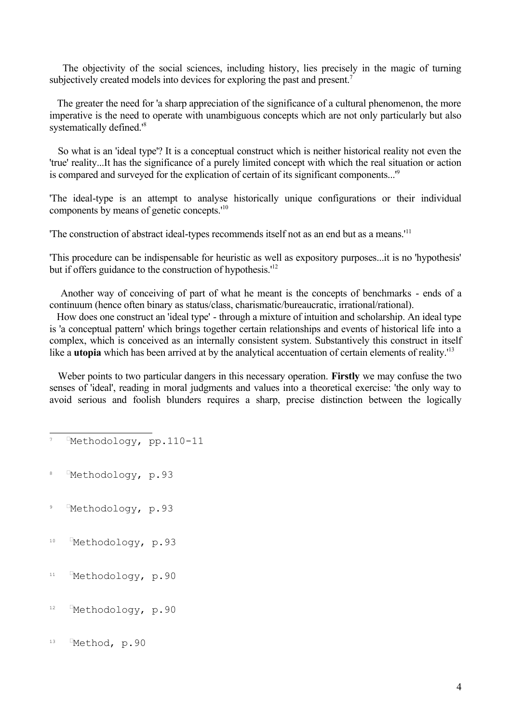The objectivity of the social sciences, including history, lies precisely in the magic of turning subjectively created models into devices for exploring the past and present.<sup>[7](#page-3-0)</sup>

 The greater the need for 'a sharp appreciation of the significance of a cultural phenomenon, the more imperative is the need to operate with unambiguous concepts which are not only particularly but also systematically defined.<sup>1[8](#page-3-1)</sup>

So what is an 'ideal type'? It is a conceptual construct which is neither historical reality not even the 'true' reality...It has the significance of a purely limited concept with which the real situation or action is compared and surveyed for the explication of certain of its significant components...<sup>1[9](#page-3-2)</sup>

'The ideal-type is an attempt to analyse historically unique configurations or their individual components by means of genetic concepts.<sup>[10](#page-3-3)</sup>

The construction of abstract ideal-types recommends itself not as an end but as a means.<sup>'[11](#page-3-4)</sup>

'This procedure can be indispensable for heuristic as well as expository purposes...it is no 'hypothesis' but if offers guidance to the construction of hypothesis.<sup>[12](#page-3-5)</sup>

Another way of conceiving of part of what he meant is the concepts of benchmarks - ends of a continuum (hence often binary as status/class, charismatic/bureaucratic, irrational/rational).

How does one construct an 'ideal type' - through a mixture of intuition and scholarship. An ideal type is 'a conceptual pattern' which brings together certain relationships and events of historical life into a complex, which is conceived as an internally consistent system. Substantively this construct in itself like a **utopia** which has been arrived at by the analytical accentuation of certain elements of reality.<sup>[13](#page-3-6)</sup>

Weber points to two particular dangers in this necessary operation. **Firstly** we may confuse the two senses of 'ideal', reading in moral judgments and values into a theoretical exercise: 'the only way to avoid serious and foolish blunders requires a sharp, precise distinction between the logically

- <span id="page-3-2"></span><sup>9</sup> <sup>I</sup>Methodology, p.93
- <span id="page-3-3"></span><sup>10</sup> FMethodology, p.93
- <span id="page-3-4"></span> $11$ Methodology, p.90
- <span id="page-3-5"></span><sup>12</sup> Methodology, p.90
- <span id="page-3-6"></span>13 EMethod, p.90

<span id="page-3-0"></span>Methodology, pp.110-11

<span id="page-3-1"></span><sup>8</sup> EMethodology, p.93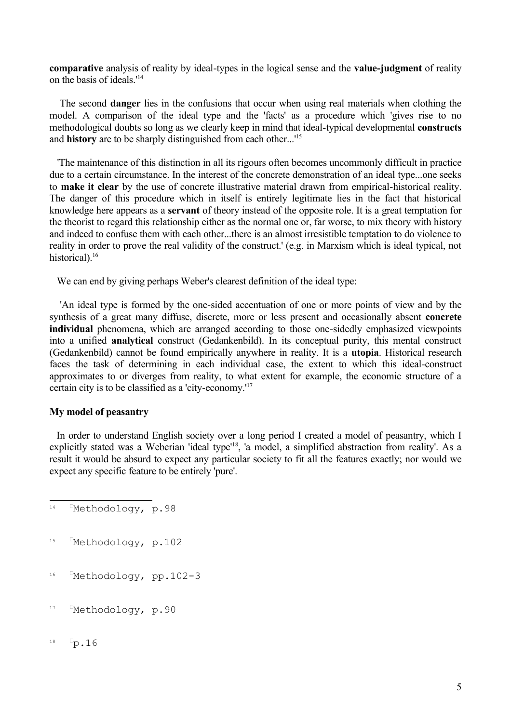**comparative** analysis of reality by ideal-types in the logical sense and the **value-judgment** of reality on the basis of ideals.' [14](#page-4-0)

The second **danger** lies in the confusions that occur when using real materials when clothing the model. A comparison of the ideal type and the 'facts' as a procedure which 'gives rise to no methodological doubts so long as we clearly keep in mind that ideal-typical developmental **constructs** and **history** are to be sharply distinguished from each other...' [15](#page-4-1)

 'The maintenance of this distinction in all its rigours often becomes uncommonly difficult in practice due to a certain circumstance. In the interest of the concrete demonstration of an ideal type...one seeks to **make it clear** by the use of concrete illustrative material drawn from empirical-historical reality. The danger of this procedure which in itself is entirely legitimate lies in the fact that historical knowledge here appears as a **servant** of theory instead of the opposite role. It is a great temptation for the theorist to regard this relationship either as the normal one or, far worse, to mix theory with history and indeed to confuse them with each other...there is an almost irresistible temptation to do violence to reality in order to prove the real validity of the construct.' (e.g. in Marxism which is ideal typical, not historical).<sup>[16](#page-4-2)</sup>

We can end by giving perhaps Weber's clearest definition of the ideal type:

'An ideal type is formed by the one-sided accentuation of one or more points of view and by the synthesis of a great many diffuse, discrete, more or less present and occasionally absent **concrete individual** phenomena, which are arranged according to those one-sidedly emphasized viewpoints into a unified **analytical** construct (Gedankenbild). In its conceptual purity, this mental construct (Gedankenbild) cannot be found empirically anywhere in reality. It is a **utopia**. Historical research faces the task of determining in each individual case, the extent to which this ideal-construct approximates to or diverges from reality, to what extent for example, the economic structure of a certain city is to be classified as a 'city-economy.' [17](#page-4-3)

### **My model of peasantry**

In order to understand English society over a long period I created a model of peasantry, which I explicitly stated was a Weberian 'ideal type'<sup>[18](#page-4-4)</sup>, 'a model, a simplified abstraction from reality'. As a result it would be absurd to expect any particular society to fit all the features exactly; nor would we expect any specific feature to be entirely 'pure'.

- <span id="page-4-2"></span>16 Methodology, pp.102-3
- <span id="page-4-3"></span> $17$ Methodology, p.90
- <span id="page-4-4"></span> $18$  $\neg p.16$

<span id="page-4-0"></span> $14$ Methodology, p.98

<span id="page-4-1"></span> $15$ Methodology, p.102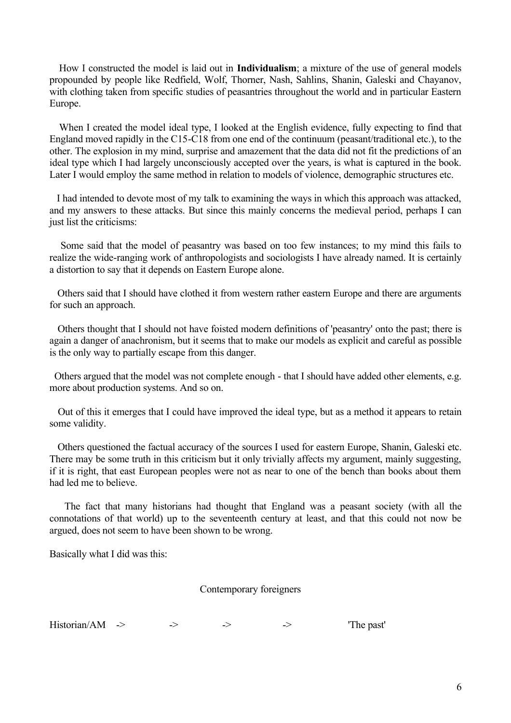How I constructed the model is laid out in **Individualism**; a mixture of the use of general models propounded by people like Redfield, Wolf, Thorner, Nash, Sahlins, Shanin, Galeski and Chayanov, with clothing taken from specific studies of peasantries throughout the world and in particular Eastern Europe.

When I created the model ideal type, I looked at the English evidence, fully expecting to find that England moved rapidly in the C15-C18 from one end of the continuum (peasant/traditional etc.), to the other. The explosion in my mind, surprise and amazement that the data did not fit the predictions of an ideal type which I had largely unconsciously accepted over the years, is what is captured in the book. Later I would employ the same method in relation to models of violence, demographic structures etc.

I had intended to devote most of my talk to examining the ways in which this approach was attacked, and my answers to these attacks. But since this mainly concerns the medieval period, perhaps I can just list the criticisms:

Some said that the model of peasantry was based on too few instances; to my mind this fails to realize the wide-ranging work of anthropologists and sociologists I have already named. It is certainly a distortion to say that it depends on Eastern Europe alone.

 Others said that I should have clothed it from western rather eastern Europe and there are arguments for such an approach.

Others thought that I should not have foisted modern definitions of 'peasantry' onto the past; there is again a danger of anachronism, but it seems that to make our models as explicit and careful as possible is the only way to partially escape from this danger.

Others argued that the model was not complete enough - that I should have added other elements, e.g. more about production systems. And so on.

Out of this it emerges that I could have improved the ideal type, but as a method it appears to retain some validity.

 Others questioned the factual accuracy of the sources I used for eastern Europe, Shanin, Galeski etc. There may be some truth in this criticism but it only trivially affects my argument, mainly suggesting, if it is right, that east European peoples were not as near to one of the bench than books about them had led me to believe.

The fact that many historians had thought that England was a peasant society (with all the connotations of that world) up to the seventeenth century at least, and that this could not now be argued, does not seem to have been shown to be wrong.

Basically what I did was this:

Contemporary foreigners

| Historian/AM |  |  |  |  | 'The past' |
|--------------|--|--|--|--|------------|
|--------------|--|--|--|--|------------|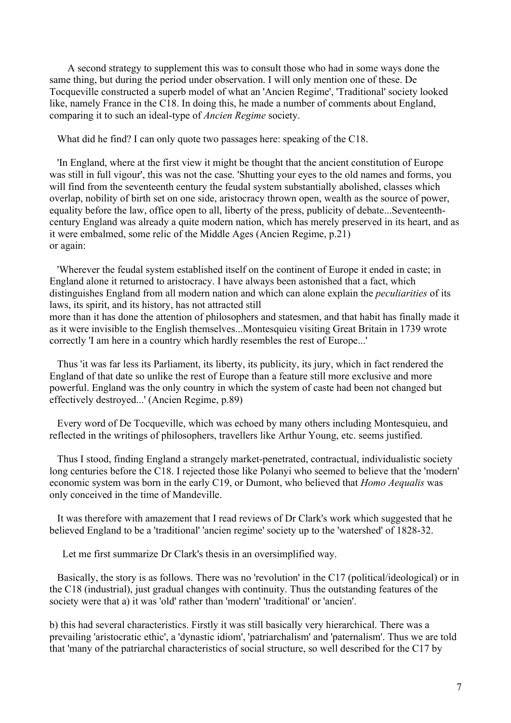A second strategy to supplement this was to consult those who had in some ways done the same thing, but during the period under observation. I will only mention one of these. De Tocqueville constructed a superb model of what an 'Ancien Regime', 'Traditional' society looked like, namely France in the C18. In doing this, he made a number of comments about England, comparing it to such an ideal-type of *Ancien Regime* society.

What did he find? I can only quote two passages here: speaking of the C18.

 'In England, where at the first view it might be thought that the ancient constitution of Europe was still in full vigour', this was not the case. 'Shutting your eyes to the old names and forms, you will find from the seventeenth century the feudal system substantially abolished, classes which overlap, nobility of birth set on one side, aristocracy thrown open, wealth as the source of power, equality before the law, office open to all, liberty of the press, publicity of debate...Seventeenthcentury England was already a quite modern nation, which has merely preserved in its heart, and as it were embalmed, some relic of the Middle Ages (Ancien Regime, p.21) or again:

 'Wherever the feudal system established itself on the continent of Europe it ended in caste; in England alone it returned to aristocracy. I have always been astonished that a fact, which distinguishes England from all modern nation and which can alone explain the *peculiarities* of its laws, its spirit, and its history, has not attracted still

more than it has done the attention of philosophers and statesmen, and that habit has finally made it as it were invisible to the English themselves...Montesquieu visiting Great Britain in 1739 wrote correctly 'I am here in a country which hardly resembles the rest of Europe...'

 Thus 'it was far less its Parliament, its liberty, its publicity, its jury, which in fact rendered the England of that date so unlike the rest of Europe than a feature still more exclusive and more powerful. England was the only country in which the system of caste had been not changed but effectively destroyed...' (Ancien Regime, p.89)

 Every word of De Tocqueville, which was echoed by many others including Montesquieu, and reflected in the writings of philosophers, travellers like Arthur Young, etc. seems justified.

 Thus I stood, finding England a strangely market-penetrated, contractual, individualistic society long centuries before the C18. I rejected those like Polanyi who seemed to believe that the 'modern' economic system was born in the early C19, or Dumont, who believed that *Homo Aequalis* was only conceived in the time of Mandeville.

 It was therefore with amazement that I read reviews of Dr Clark's work which suggested that he believed England to be a 'traditional' 'ancien regime' society up to the 'watershed' of 1828-32.

Let me first summarize Dr Clark's thesis in an oversimplified way.

 Basically, the story is as follows. There was no 'revolution' in the C17 (political/ideological) or in the C18 (industrial), just gradual changes with continuity. Thus the outstanding features of the society were that a) it was 'old' rather than 'modern' 'traditional' or 'ancien'.

b) this had several characteristics. Firstly it was still basically very hierarchical. There was a prevailing 'aristocratic ethic', a 'dynastic idiom', 'patriarchalism' and 'paternalism'. Thus we are told that 'many of the patriarchal characteristics of social structure, so well described for the C17 by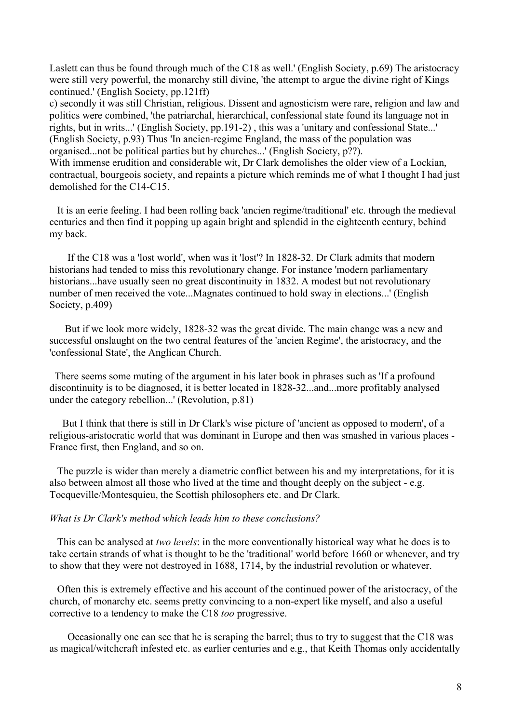Laslett can thus be found through much of the C18 as well.' (English Society, p.69) The aristocracy were still very powerful, the monarchy still divine, 'the attempt to argue the divine right of Kings continued.' (English Society, pp.121ff)

c) secondly it was still Christian, religious. Dissent and agnosticism were rare, religion and law and politics were combined, 'the patriarchal, hierarchical, confessional state found its language not in rights, but in writs...' (English Society, pp.191-2) , this was a 'unitary and confessional State...' (English Society, p.93) Thus 'In ancien-regime England, the mass of the population was organised...not be political parties but by churches...' (English Society, p??).

With immense erudition and considerable wit, Dr Clark demolishes the older view of a Lockian, contractual, bourgeois society, and repaints a picture which reminds me of what I thought I had just demolished for the C14-C15.

 It is an eerie feeling. I had been rolling back 'ancien regime/traditional' etc. through the medieval centuries and then find it popping up again bright and splendid in the eighteenth century, behind my back.

 If the C18 was a 'lost world', when was it 'lost'? In 1828-32. Dr Clark admits that modern historians had tended to miss this revolutionary change. For instance 'modern parliamentary historians...have usually seen no great discontinuity in 1832. A modest but not revolutionary number of men received the vote...Magnates continued to hold sway in elections...' (English Society, p.409)

 But if we look more widely, 1828-32 was the great divide. The main change was a new and successful onslaught on the two central features of the 'ancien Regime', the aristocracy, and the 'confessional State', the Anglican Church.

 There seems some muting of the argument in his later book in phrases such as 'If a profound discontinuity is to be diagnosed, it is better located in 1828-32...and...more profitably analysed under the category rebellion...' (Revolution, p.81)

 But I think that there is still in Dr Clark's wise picture of 'ancient as opposed to modern', of a religious-aristocratic world that was dominant in Europe and then was smashed in various places - France first, then England, and so on.

 The puzzle is wider than merely a diametric conflict between his and my interpretations, for it is also between almost all those who lived at the time and thought deeply on the subject - e.g. Tocqueville/Montesquieu, the Scottish philosophers etc. and Dr Clark.

### *What is Dr Clark's method which leads him to these conclusions?*

 This can be analysed at *two levels*: in the more conventionally historical way what he does is to take certain strands of what is thought to be the 'traditional' world before 1660 or whenever, and try to show that they were not destroyed in 1688, 1714, by the industrial revolution or whatever.

 Often this is extremely effective and his account of the continued power of the aristocracy, of the church, of monarchy etc. seems pretty convincing to a non-expert like myself, and also a useful corrective to a tendency to make the C18 *too* progressive.

 Occasionally one can see that he is scraping the barrel; thus to try to suggest that the C18 was as magical/witchcraft infested etc. as earlier centuries and e.g., that Keith Thomas only accidentally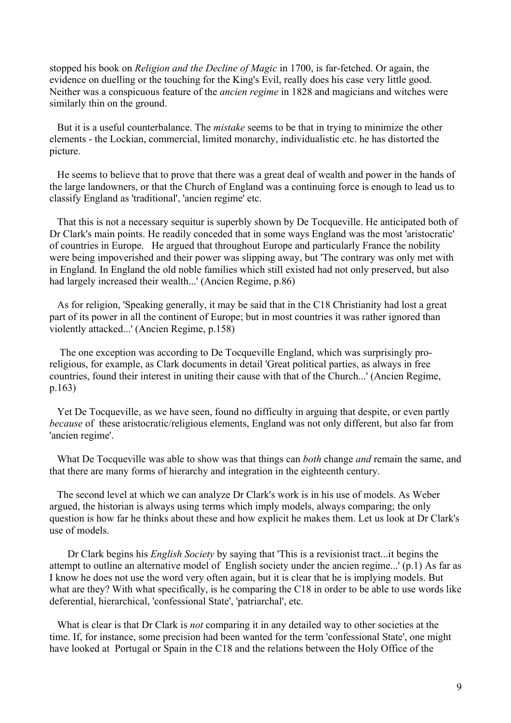stopped his book on *Religion and the Decline of Magic* in 1700, is far-fetched. Or again, the evidence on duelling or the touching for the King's Evil, really does his case very little good. Neither was a conspicuous feature of the *ancien regime* in 1828 and magicians and witches were similarly thin on the ground.

 But it is a useful counterbalance. The *mistake* seems to be that in trying to minimize the other elements - the Lockian, commercial, limited monarchy, individualistic etc. he has distorted the picture.

 He seems to believe that to prove that there was a great deal of wealth and power in the hands of the large landowners, or that the Church of England was a continuing force is enough to lead us to classify England as 'traditional', 'ancien regime' etc.

 That this is not a necessary sequitur is superbly shown by De Tocqueville. He anticipated both of Dr Clark's main points. He readily conceded that in some ways England was the most 'aristocratic' of countries in Europe. He argued that throughout Europe and particularly France the nobility were being impoverished and their power was slipping away, but 'The contrary was only met with in England. In England the old noble families which still existed had not only preserved, but also had largely increased their wealth...' (Ancien Regime, p.86)

 As for religion, 'Speaking generally, it may be said that in the C18 Christianity had lost a great part of its power in all the continent of Europe; but in most countries it was rather ignored than violently attacked...' (Ancien Regime, p.158)

 The one exception was according to De Tocqueville England, which was surprisingly proreligious, for example, as Clark documents in detail 'Great political parties, as always in free countries, found their interest in uniting their cause with that of the Church...' (Ancien Regime, p.163)

 Yet De Tocqueville, as we have seen, found no difficulty in arguing that despite, or even partly *because* of these aristocratic/religious elements, England was not only different, but also far from 'ancien regime'.

 What De Tocqueville was able to show was that things can *both* change *and* remain the same, and that there are many forms of hierarchy and integration in the eighteenth century.

 The second level at which we can analyze Dr Clark's work is in his use of models. As Weber argued, the historian is always using terms which imply models, always comparing; the only question is how far he thinks about these and how explicit he makes them. Let us look at Dr Clark's use of models.

 Dr Clark begins his *English Society* by saying that 'This is a revisionist tract...it begins the attempt to outline an alternative model of English society under the ancien regime...' (p.1) As far as I know he does not use the word very often again, but it is clear that he is implying models. But what are they? With what specifically, is he comparing the C18 in order to be able to use words like deferential, hierarchical, 'confessional State', 'patriarchal', etc.

 What is clear is that Dr Clark is *not* comparing it in any detailed way to other societies at the time. If, for instance, some precision had been wanted for the term 'confessional State', one might have looked at Portugal or Spain in the C18 and the relations between the Holy Office of the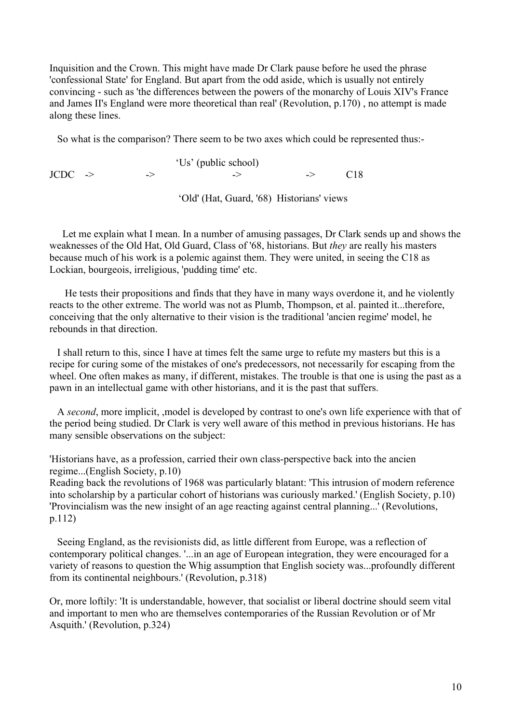Inquisition and the Crown. This might have made Dr Clark pause before he used the phrase 'confessional State' for England. But apart from the odd aside, which is usually not entirely convincing - such as 'the differences between the powers of the monarchy of Louis XIV's France and James II's England were more theoretical than real' (Revolution, p.170) , no attempt is made along these lines.

So what is the comparison? There seem to be two axes which could be represented thus:-

 'Us' (public school)  $JCDC \rightarrow \rightarrow$  -> -> -> C18 'Old' (Hat, Guard, '68) Historians' views

 Let me explain what I mean. In a number of amusing passages, Dr Clark sends up and shows the weaknesses of the Old Hat, Old Guard, Class of '68, historians. But *they* are really his masters because much of his work is a polemic against them. They were united, in seeing the C18 as Lockian, bourgeois, irreligious, 'pudding time' etc.

 He tests their propositions and finds that they have in many ways overdone it, and he violently reacts to the other extreme. The world was not as Plumb, Thompson, et al. painted it...therefore, conceiving that the only alternative to their vision is the traditional 'ancien regime' model, he rebounds in that direction.

 I shall return to this, since I have at times felt the same urge to refute my masters but this is a recipe for curing some of the mistakes of one's predecessors, not necessarily for escaping from the wheel. One often makes as many, if different, mistakes. The trouble is that one is using the past as a pawn in an intellectual game with other historians, and it is the past that suffers.

 A *second*, more implicit, ,model is developed by contrast to one's own life experience with that of the period being studied. Dr Clark is very well aware of this method in previous historians. He has many sensible observations on the subject:

'Historians have, as a profession, carried their own class-perspective back into the ancien regime...(English Society, p.10)

Reading back the revolutions of 1968 was particularly blatant: 'This intrusion of modern reference into scholarship by a particular cohort of historians was curiously marked.' (English Society, p.10) 'Provincialism was the new insight of an age reacting against central planning...' (Revolutions, p.112)

 Seeing England, as the revisionists did, as little different from Europe, was a reflection of contemporary political changes. '...in an age of European integration, they were encouraged for a variety of reasons to question the Whig assumption that English society was...profoundly different from its continental neighbours.' (Revolution, p.318)

Or, more loftily: 'It is understandable, however, that socialist or liberal doctrine should seem vital and important to men who are themselves contemporaries of the Russian Revolution or of Mr Asquith.' (Revolution, p.324)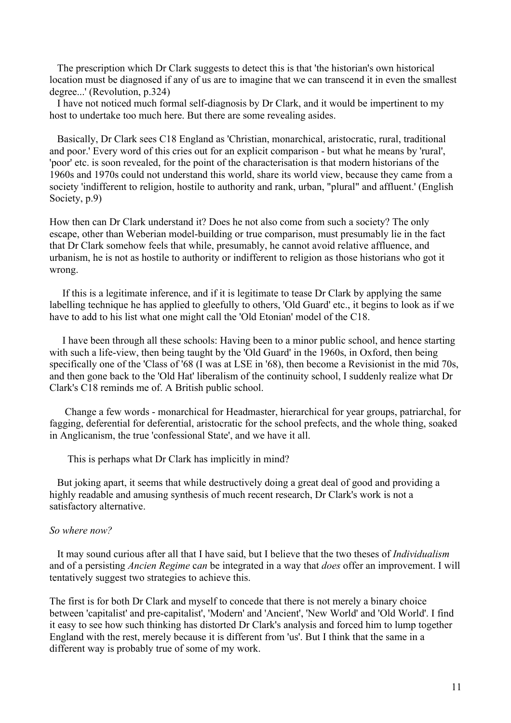The prescription which Dr Clark suggests to detect this is that 'the historian's own historical location must be diagnosed if any of us are to imagine that we can transcend it in even the smallest degree...' (Revolution, p.324)

 I have not noticed much formal self-diagnosis by Dr Clark, and it would be impertinent to my host to undertake too much here. But there are some revealing asides.

 Basically, Dr Clark sees C18 England as 'Christian, monarchical, aristocratic, rural, traditional and poor.' Every word of this cries out for an explicit comparison - but what he means by 'rural', 'poor' etc. is soon revealed, for the point of the characterisation is that modern historians of the 1960s and 1970s could not understand this world, share its world view, because they came from a society 'indifferent to religion, hostile to authority and rank, urban, "plural" and affluent.' (English Society, p.9)

How then can Dr Clark understand it? Does he not also come from such a society? The only escape, other than Weberian model-building or true comparison, must presumably lie in the fact that Dr Clark somehow feels that while, presumably, he cannot avoid relative affluence, and urbanism, he is not as hostile to authority or indifferent to religion as those historians who got it wrong.

 If this is a legitimate inference, and if it is legitimate to tease Dr Clark by applying the same labelling technique he has applied to gleefully to others, 'Old Guard' etc., it begins to look as if we have to add to his list what one might call the 'Old Etonian' model of the C18.

 I have been through all these schools: Having been to a minor public school, and hence starting with such a life-view, then being taught by the 'Old Guard' in the 1960s, in Oxford, then being specifically one of the 'Class of '68 (I was at LSE in '68), then become a Revisionist in the mid 70s, and then gone back to the 'Old Hat' liberalism of the continuity school, I suddenly realize what Dr Clark's C18 reminds me of. A British public school.

 Change a few words - monarchical for Headmaster, hierarchical for year groups, patriarchal, for fagging, deferential for deferential, aristocratic for the school prefects, and the whole thing, soaked in Anglicanism, the true 'confessional State', and we have it all.

This is perhaps what Dr Clark has implicitly in mind?

 But joking apart, it seems that while destructively doing a great deal of good and providing a highly readable and amusing synthesis of much recent research, Dr Clark's work is not a satisfactory alternative.

### *So where now?*

 It may sound curious after all that I have said, but I believe that the two theses of *Individualism* and of a persisting *Ancien Regime* c*an* be integrated in a way that *does* offer an improvement. I will tentatively suggest two strategies to achieve this.

The first is for both Dr Clark and myself to concede that there is not merely a binary choice between 'capitalist' and pre-capitalist', 'Modern' and 'Ancient', 'New World' and 'Old World'. I find it easy to see how such thinking has distorted Dr Clark's analysis and forced him to lump together England with the rest, merely because it is different from 'us'. But I think that the same in a different way is probably true of some of my work.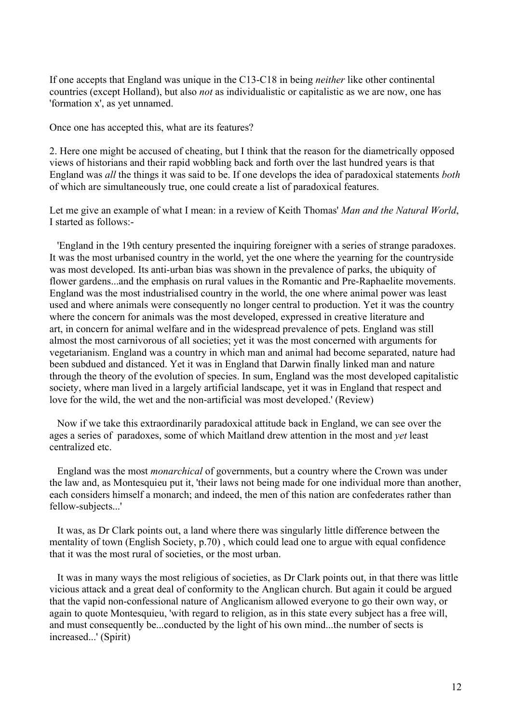If one accepts that England was unique in the C13-C18 in being *neither* like other continental countries (except Holland), but also *not* as individualistic or capitalistic as we are now, one has 'formation x', as yet unnamed.

Once one has accepted this, what are its features?

2. Here one might be accused of cheating, but I think that the reason for the diametrically opposed views of historians and their rapid wobbling back and forth over the last hundred years is that England was *all* the things it was said to be. If one develops the idea of paradoxical statements *both* of which are simultaneously true, one could create a list of paradoxical features.

Let me give an example of what I mean: in a review of Keith Thomas' *Man and the Natural World*, I started as follows:-

 'England in the 19th century presented the inquiring foreigner with a series of strange paradoxes. It was the most urbanised country in the world, yet the one where the yearning for the countryside was most developed. Its anti-urban bias was shown in the prevalence of parks, the ubiquity of flower gardens...and the emphasis on rural values in the Romantic and Pre-Raphaelite movements. England was the most industrialised country in the world, the one where animal power was least used and where animals were consequently no longer central to production. Yet it was the country where the concern for animals was the most developed, expressed in creative literature and art, in concern for animal welfare and in the widespread prevalence of pets. England was still almost the most carnivorous of all societies; yet it was the most concerned with arguments for vegetarianism. England was a country in which man and animal had become separated, nature had been subdued and distanced. Yet it was in England that Darwin finally linked man and nature through the theory of the evolution of species. In sum, England was the most developed capitalistic society, where man lived in a largely artificial landscape, yet it was in England that respect and love for the wild, the wet and the non-artificial was most developed.' (Review)

 Now if we take this extraordinarily paradoxical attitude back in England, we can see over the ages a series of paradoxes, some of which Maitland drew attention in the most and *yet* least centralized etc.

 England was the most *monarchical* of governments, but a country where the Crown was under the law and, as Montesquieu put it, 'their laws not being made for one individual more than another, each considers himself a monarch; and indeed, the men of this nation are confederates rather than fellow-subjects...'

 It was, as Dr Clark points out, a land where there was singularly little difference between the mentality of town (English Society, p.70) , which could lead one to argue with equal confidence that it was the most rural of societies, or the most urban.

 It was in many ways the most religious of societies, as Dr Clark points out, in that there was little vicious attack and a great deal of conformity to the Anglican church. But again it could be argued that the vapid non-confessional nature of Anglicanism allowed everyone to go their own way, or again to quote Montesquieu, 'with regard to religion, as in this state every subject has a free will, and must consequently be...conducted by the light of his own mind...the number of sects is increased...' (Spirit)